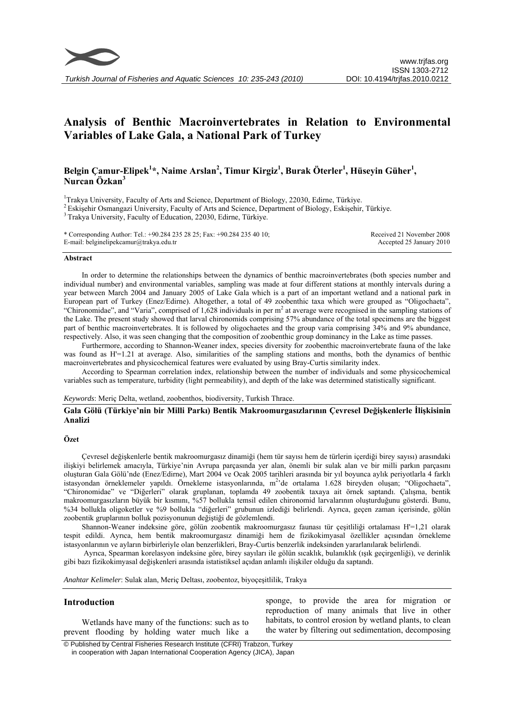

*Turkish Journal of Fisheries and Aquatic Sciences 10: 235-243 (2010)* 

# **Analysis of Benthic Macroinvertebrates in Relation to Environmental Variables of Lake Gala, a National Park of Turkey**

## Belgin Çamur-Elipek<sup>1</sup>\*, Naime Arslan<sup>2</sup>, Timur Kirgiz<sup>1</sup>, Burak Öterler<sup>1</sup>, Hüseyin Güher<sup>1</sup>, **Nurcan Özkan3**

<sup>1</sup>Trakva University, Faculty of Arts and Science, Department of Biology, 22030, Edirne, Türkiye.

 $^{2}$  Eskişehir Osmangazi University, Faculty of Arts and Science, Department of Biology, Eskişehir, Türkiye.<br> $^{3}$  Trakya University, Faculty of Education, 22030, Edirne, Türkiye.

\* Corresponding Author: Tel.: +90.284 235 28 25; Fax: +90.284 235 40 10; E-mail: belginelipekcamur@trakya.edu.tr Received 21 November 2008 Accepted 25 January 2010

#### **Abstract**

In order to determine the relationships between the dynamics of benthic macroinvertebrates (both species number and individual number) and environmental variables, sampling was made at four different stations at monthly intervals during a year between March 2004 and January 2005 of Lake Gala which is a part of an important wetland and a national park in European part of Turkey (Enez/Edirne). Altogether, a total of 49 zoobenthic taxa which were grouped as "Oligochaeta", "Chironomidae", and "Varia", comprised of 1,628 individuals in per  $m<sup>2</sup>$  at average were recognised in the sampling stations of the Lake. The present study showed that larval chironomids comprising 57% abundance of the total specimens are the biggest part of benthic macroinvertebrates. It is followed by oligochaetes and the group varia comprising 34% and 9% abundance, respectively. Also, it was seen changing that the composition of zoobenthic group dominancy in the Lake as time passes.

Furthermore, according to Shannon-Weaner index, species diversity for zoobenthic macroinvertebrate fauna of the lake was found as H'=1.21 at average. Also, similarities of the sampling stations and months, both the dynamics of benthic macroinvertebrates and physicochemical features were evaluated by using Bray-Curtis similarity index.

According to Spearman correlation index, relationship between the number of individuals and some physicochemical variables such as temperature, turbidity (light permeability), and depth of the lake was determined statistically significant.

*Keywords*: Meriç Delta, wetland, zoobenthos, biodiversity, Turkish Thrace.

#### **Gala Gölü (Türkiye'nin bir Milli Parkı) Bentik Makroomurgasızlarının Çevresel Değişkenlerle İlişkisinin Analizi**

#### **Özet**

Çevresel değişkenlerle bentik makroomurgasız dinamiği (hem tür sayısı hem de türlerin içerdiği birey sayısı) arasındaki ilişkiyi belirlemek amacıyla, Türkiye'nin Avrupa parçasında yer alan, önemli bir sulak alan ve bir milli parkın parçasını oluşturan Gala Gölü'nde (Enez/Edirne), Mart 2004 ve Ocak 2005 tarihleri arasında bir yıl boyunca aylık periyotlarla 4 farklı istasyondan örneklemeler yapıldı. Örnekleme istasyonlarında, m<sup>2</sup>'de ortalama 1.628 bireyden oluşan; "Oligochaeta", "Chironomidae" ve "Diğerleri" olarak gruplanan, toplamda 49 zoobentik taxaya ait örnek saptandı. Çalışma, bentik makroomurgasızların büyük bir kısmını, %57 bollukla temsil edilen chironomid larvalarının oluşturduğunu gösterdi. Bunu, %34 bollukla oligoketler ve %9 bollukla "diğerleri" grubunun izlediği belirlendi. Ayrıca, geçen zaman içerisinde, gölün zoobentik gruplarının bolluk pozisyonunun değiştiği de gözlemlendi.

Shannon-Weaner indeksine göre, gölün zoobentik makroomurgasız faunası tür çeşitliliği ortalaması H'=1,21 olarak tespit edildi. Ayrıca, hem bentik makroomurgasız dinamiği hem de fizikokimyasal özellikler açısından örnekleme istasyonlarının ve ayların birbirleriyle olan benzerlikleri, Bray-Curtis benzerlik indeksinden yararlanılarak belirlendi.

 Ayrıca, Spearman korelasyon indeksine göre, birey sayıları ile gölün sıcaklık, bulanıklık (ışık geçirgenliği), ve derinlik gibi bazı fizikokimyasal değişkenleri arasında istatistiksel açıdan anlamlı ilişkiler olduğu da saptandı.

*Anahtar Kelimeler*: Sulak alan, Meriç Deltası, zoobentoz, biyoçeşitlilik, Trakya

#### **Introduction**

Wetlands have many of the functions: such as to prevent flooding by holding water much like a sponge, to provide the area for migration or reproduction of many animals that live in other habitats, to control erosion by wetland plants, to clean the water by filtering out sedimentation, decomposing

 © Published by Central Fisheries Research Institute (CFRI) Trabzon, Turkey in cooperation with Japan International Cooperation Agency (JICA), Japan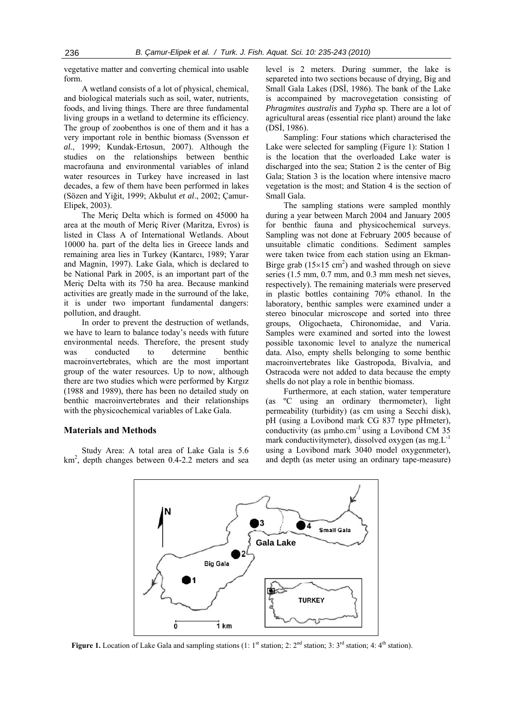vegetative matter and converting chemical into usable form.

A wetland consists of a lot of physical, chemical, and biological materials such as soil, water, nutrients, foods, and living things. There are three fundamental living groups in a wetland to determine its efficiency. The group of zoobenthos is one of them and it has a very important role in benthic biomass (Svensson *et al.*, 1999; Kundak-Ertosun, 2007). Although the studies on the relationships between benthic macrofauna and environmental variables of inland water resources in Turkey have increased in last decades, a few of them have been performed in lakes (Sözen and Yiğit, 1999; Akbulut *et al*., 2002; Çamur-Elipek, 2003).

The Meriç Delta which is formed on 45000 ha area at the mouth of Meriç River (Maritza, Evros) is listed in Class A of International Wetlands. About 10000 ha. part of the delta lies in Greece lands and remaining area lies in Turkey (Kantarcı, 1989; Yarar and Magnin, 1997). Lake Gala, which is declared to be National Park in 2005, is an important part of the Meriç Delta with its 750 ha area. Because mankind activities are greatly made in the surround of the lake, it is under two important fundamental dangers: pollution, and draught.

In order to prevent the destruction of wetlands, we have to learn to balance today's needs with future environmental needs. Therefore, the present study was conducted to determine benthic macroinvertebrates, which are the most important group of the water resources. Up to now, although there are two studies which were performed by Kırgız (1988 and 1989), there has been no detailed study on benthic macroinvertebrates and their relationships with the physicochemical variables of Lake Gala.

### **Materials and Methods**

Study Area: A total area of Lake Gala is 5.6 km2 , depth changes between 0.4-2.2 meters and sea level is 2 meters. During summer, the lake is separeted into two sections because of drying, Big and Small Gala Lakes (DSİ, 1986). The bank of the Lake is accompained by macrovegetation consisting of *Phragmites australis* and *Typha* sp. There are a lot of agricultural areas (essential rice plant) around the lake (DSİ, 1986).

Sampling: Four stations which characterised the Lake were selected for sampling (Figure 1): Station 1 is the location that the overloaded Lake water is discharged into the sea; Station 2 is the center of Big Gala; Station 3 is the location where intensive macro vegetation is the most; and Station 4 is the section of Small Gala.

The sampling stations were sampled monthly during a year between March 2004 and January 2005 for benthic fauna and physicochemical surveys. Sampling was not done at February 2005 because of unsuitable climatic conditions. Sediment samples were taken twice from each station using an Ekman-Birge grab ( $15 \times 15$  cm<sup>2</sup>) and washed through on sieve series (1.5 mm, 0.7 mm, and 0.3 mm mesh net sieves, respectively). The remaining materials were preserved in plastic bottles containing 70% ethanol. In the laboratory, benthic samples were examined under a stereo binocular microscope and sorted into three groups, Oligochaeta, Chironomidae, and Varia. Samples were examined and sorted into the lowest possible taxonomic level to analyze the numerical data. Also, empty shells belonging to some benthic macroinvertebrates like Gastropoda, Bivalvia, and Ostracoda were not added to data because the empty shells do not play a role in benthic biomass.

Furthermore, at each station, water temperature (as ºC using an ordinary thermometer), light permeability (turbidity) (as cm using a Secchi disk), pH (using a Lovibond mark CG 837 type pHmeter), conductivity (as  $\mu$ mho.cm<sup>-1</sup> using a Lovibond CM 35 mark conductivitymeter), dissolved oxygen (as  $mg.L^{-1}$ using a Lovibond mark 3040 model oxygenmeter), and depth (as meter using an ordinary tape-measure)



**Figure 1.** Location of Lake Gala and sampling stations (1: 1<sup>st</sup> station; 2:  $2^{nd}$  station; 3: 3<sup>rd</sup> station; 4: 4<sup>th</sup> station).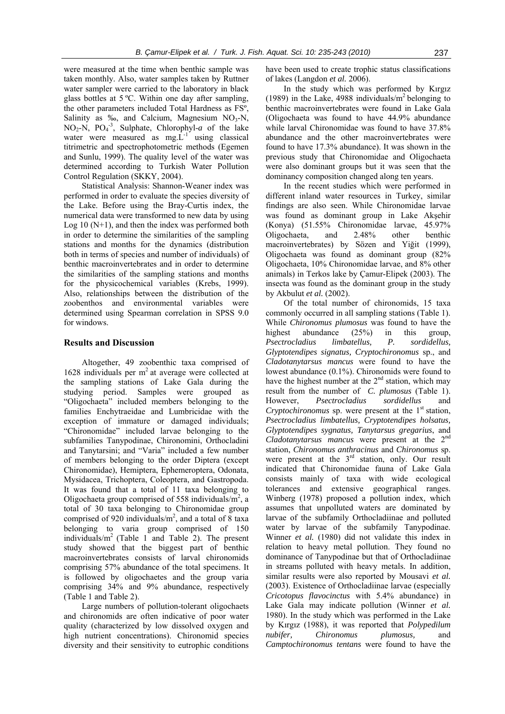were measured at the time when benthic sample was taken monthly. Also, water samples taken by Ruttner water sampler were carried to the laboratory in black glass bottles at 5 ºC. Within one day after sampling, the other parameters included Total Hardness as FSº, Salinity as ‰, and Calcium, Magnesium  $NO<sub>3</sub>-N$ ,  $NO<sub>2</sub>-N$ ,  $PO<sub>4</sub><sup>-3</sup>$ , Sulphate, Chlorophyl-*a* of the lake water were measured as  $mgL^{-1}$  using classical titrimetric and spectrophotometric methods (Egemen and Sunlu, 1999). The quality level of the water was determined according to Turkish Water Pollution Control Regulation (SKKY, 2004).

Statistical Analysis: Shannon-Weaner index was performed in order to evaluate the species diversity of the Lake. Before using the Bray-Curtis index, the numerical data were transformed to new data by using Log  $10(N+1)$ , and then the index was performed both in order to determine the similarities of the sampling stations and months for the dynamics (distribution both in terms of species and number of individuals) of benthic macroinvertebrates and in order to determine the similarities of the sampling stations and months for the physicochemical variables (Krebs, 1999). Also, relationships between the distribution of the zoobenthos and environmental variables were determined using Spearman correlation in SPSS 9.0 for windows.

#### **Results and Discussion**

Altogether, 49 zoobenthic taxa comprised of 1628 individuals per  $m<sup>2</sup>$  at average were collected at the sampling stations of Lake Gala during the studying period. Samples were grouped as "Oligochaeta" included members belonging to the families Enchytraeidae and Lumbricidae with the exception of immature or damaged individuals; "Chironomidae" included larvae belonging to the subfamilies Tanypodinae, Chironomini, Orthocladini and Tanytarsini; and "Varia" included a few number of members belonging to the order Diptera (except Chironomidae), Hemiptera, Ephemeroptera, Odonata, Mysidacea, Trichoptera, Coleoptera, and Gastropoda. It was found that a total of 11 taxa belonging to Oligochaeta group comprised of 558 individuals/ $m^2$ , a total of 30 taxa belonging to Chironomidae group comprised of 920 individuals/ $m^2$ , and a total of 8 taxa belonging to varia group comprised of 150 individuals/ $m<sup>2</sup>$  (Table 1 and Table 2). The present study showed that the biggest part of benthic macroinvertebrates consists of larval chironomids comprising 57% abundance of the total specimens. It is followed by oligochaetes and the group varia comprising 34% and 9% abundance, respectively (Table 1 and Table 2).

Large numbers of pollution-tolerant oligochaets and chironomids are often indicative of poor water quality (characterized by low dissolved oxygen and high nutrient concentrations). Chironomid species diversity and their sensitivity to eutrophic conditions have been used to create trophic status classifications of lakes (Langdon *et al.* 2006).

In the study which was performed by Kırgız (1989) in the Lake, 4988 individuals/ $m<sup>2</sup>$  belonging to benthic macroinvertebrates were found in Lake Gala (Oligochaeta was found to have 44.9% abundance while larval Chironomidae was found to have 37.8% abundance and the other macroinvertebrates were found to have 17.3% abundance). It was shown in the previous study that Chironomidae and Oligochaeta were also dominant groups but it was seen that the dominancy composition changed along ten years.

In the recent studies which were performed in different inland water resources in Turkey, similar findings are also seen. While Chironomidae larvae was found as dominant group in Lake Akşehir (Konya) (51.55% Chironomidae larvae, 45.97% Oligochaeta, and 2.48% other benthic macroinvertebrates) by Sözen and Yiğit (1999), Oligochaeta was found as dominant group (82% Oligochaeta, 10% Chironomidae larvae, and 8% other animals) in Terkos lake by Çamur-Elipek (2003). The insecta was found as the dominant group in the study by Akbulut *et al.* (2002).

Of the total number of chironomids, 15 taxa commonly occurred in all sampling stations (Table 1). While *Chironomus plumosus* was found to have the highest abundance (25%) in this group, *Psectrocladius limbatellus, P. sordidellus, Glyptotendipes signatus, Cryptochironomus* sp., and *Cladotanytarsus mancus* were found to have the lowest abundance (0.1%). Chironomids were found to have the highest number at the  $2<sup>nd</sup>$  station, which may result from the number of *C. plumosus* (Table 1). However, *Psectrocladius sordidellus* and *Cryptochironomus* sp. were present at the 1<sup>st</sup> station, *Psectrocladius limbatellus, Cryptotendipes holsatus, Glyptotendipes sygnatus, Tanytarsus gregarius*, and *Cladotanytarsus mancus* were present at the 2nd station, *Chironomus anthracinus* and *Chironomus* sp. were present at the  $3<sup>rd</sup>$  station, only. Our result indicated that Chironomidae fauna of Lake Gala consists mainly of taxa with wide ecological tolerances and extensive geographical ranges. Winberg (1978) proposed a pollution index, which assumes that unpolluted waters are dominated by larvae of the subfamily Orthocladiinae and polluted water by larvae of the subfamily Tanypodinae. Winner *et al.* (1980) did not validate this index in relation to heavy metal pollution. They found no dominance of Tanypodinae but that of Orthocladiinae in streams polluted with heavy metals. In addition, similar results were also reported by Mousavi *et al.* (2003). Existence of Orthocladiinae larvae (especially *Cricotopus flavocinctus* with 5.4% abundance) in Lake Gala may indicate pollution (Winner *et al.* 1980). In the study which was performed in the Lake by Kırgız (1988), it was reported that *Polypedilum nubifer, Chironomus plumosus,* and *Camptochironomus tentans* were found to have the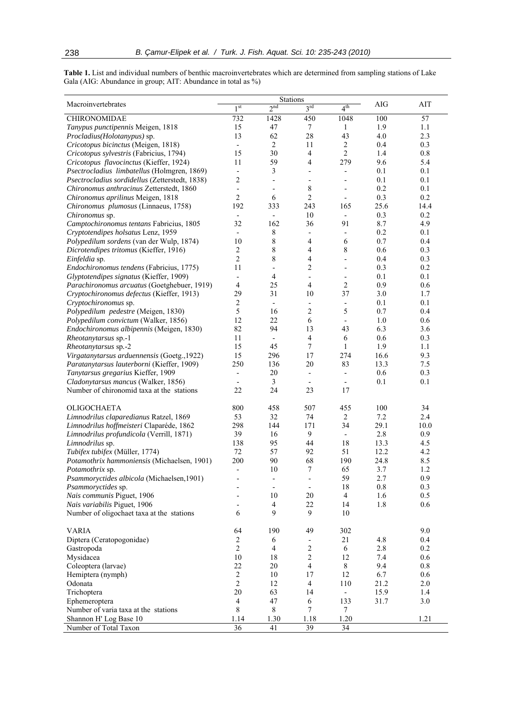**Table 1.** List and individual numbers of benthic macroinvertebrates which are determined from sampling stations of Lake Gala (AIG: Abundance in group; AIT: Abundance in total as %)

|                                                |                          | Stations                                             |                                       |                          |      |         |
|------------------------------------------------|--------------------------|------------------------------------------------------|---------------------------------------|--------------------------|------|---------|
| Macroinvertebrates                             | 1 <sup>st</sup>          | 2 <sup>nd</sup>                                      | 3 <sup>rd</sup>                       | 4 <sup>th</sup>          | AIG  | AIT     |
| CHIRONOMIDAE                                   | 732                      | 1428                                                 | 450                                   | 1048                     | 100  | 57      |
| Tanypus punctipennis Meigen, 1818              | 15                       | 47                                                   | $\tau$                                | 1                        | 1.9  | 1.1     |
| Procladius(Holotanypus) sp.                    | 13                       | 62                                                   | $28\,$                                | 43                       | 4.0  | 2.3     |
| Cricotopus bicinctus (Meigen, 1818)            | $\overline{\phantom{a}}$ | 2                                                    | 11                                    | $\sqrt{2}$               | 0.4  | 0.3     |
| Cricotopus sylvestris (Fabricius, 1794)        | 15                       | 30                                                   | $\overline{4}$                        | $\overline{c}$           | 1.4  | 0.8     |
| Cricotopus flavocinctus (Kieffer, 1924)        | 11                       | 59                                                   | $\overline{4}$                        | 279                      | 9.6  | 5.4     |
| Psectrocladius limbatellus (Holmgren, 1869)    | $\overline{a}$           | 3                                                    | $\overline{\phantom{a}}$              | $\frac{1}{2}$            | 0.1  | 0.1     |
| Psectrocladius sordidellus (Zetterstedt, 1838) | $\overline{c}$           |                                                      |                                       | $\overline{\phantom{a}}$ | 0.1  | 0.1     |
| Chironomus anthracinus Zetterstedt, 1860       | $\overline{a}$           | $\overline{\phantom{0}}$<br>$\overline{\phantom{0}}$ | $\overline{\phantom{a}}$<br>$\,$ $\,$ | $\overline{\phantom{0}}$ | 0.2  | 0.1     |
|                                                | 2                        |                                                      | $\overline{c}$                        |                          | 0.3  | 0.2     |
| Chironomus aprilinus Meigen, 1818              |                          | 6                                                    |                                       | $\overline{\phantom{a}}$ |      |         |
| Chironomus plumosus (Linnaeus, 1758)           | 192                      | 333                                                  | 243                                   | 165                      | 25.6 | 14.4    |
| Chironomus sp.                                 |                          | $\overline{\phantom{0}}$                             | 10                                    | $\overline{\phantom{a}}$ | 0.3  | 0.2     |
| Camptochironomus tentans Fabricius, 1805       | 32                       | 162                                                  | 36                                    | 91                       | 8.7  | 4.9     |
| Cryptotendipes holsatus Lenz, 1959             | $\frac{1}{2}$            | 8                                                    | $\overline{\phantom{a}}$              |                          | 0.2  | 0.1     |
| Polypedilum sordens (van der Wulp, 1874)       | 10                       | $\,$ $\,$                                            | 4                                     | 6                        | 0.7  | 0.4     |
| Dicrotendipes tritomus (Kieffer, 1916)         | 2                        | $\,$ $\,$                                            | 4                                     | 8                        | 0.6  | 0.3     |
| Einfeldia sp.                                  | $\overline{c}$           | 8                                                    | 4                                     | $\overline{\phantom{a}}$ | 0.4  | 0.3     |
| Endochironomus tendens (Fabricius, 1775)       | 11                       | $\overline{\phantom{0}}$                             | $\overline{2}$                        | $\overline{\phantom{a}}$ | 0.3  | 0.2     |
| Glyptotendipes signatus (Kieffer, 1909)        | $\overline{\phantom{0}}$ | $\overline{4}$                                       | $\overline{\phantom{a}}$              | $\overline{\phantom{a}}$ | 0.1  | 0.1     |
| Parachironomus arcuatus (Goetghebuer, 1919)    | 4                        | 25                                                   | $\overline{4}$                        | $\overline{2}$           | 0.9  | 0.6     |
| Cryptochironomus defectus (Kieffer, 1913)      | 29                       | 31                                                   | 10                                    | 37                       | 3.0  | 1.7     |
| Cryptochironomus sp.                           | $\boldsymbol{2}$         | $\overline{\phantom{a}}$                             | $\overline{\phantom{a}}$              | $\frac{1}{2}$            | 0.1  | 0.1     |
| Polypedilum pedestre (Meigen, 1830)            | 5                        | 16                                                   | $\overline{2}$                        | 5                        | 0.7  | 0.4     |
| Polypedilum convictum (Walker, 1856)           | 12                       | 22                                                   | 6                                     | $\frac{1}{2}$            | 1.0  | 0.6     |
| Endochironomus albipennis (Meigen, 1830)       | 82                       | 94                                                   | 13                                    | 43                       | 6.3  | 3.6     |
| Rheotanytarsus sp.-1                           | 11                       | $\overline{\phantom{a}}$                             | $\overline{4}$                        | 6                        | 0.6  | 0.3     |
| Rheotanytarsus sp.-2                           | 15                       | 45                                                   | $\tau$                                | $\mathbf{1}$             | 1.9  | 1.1     |
| Virgatanytarsus arduennensis (Goetg., 1922)    | 15                       | 296                                                  | 17                                    | 274                      | 16.6 | 9.3     |
| Paratanytarsus lauterborni (Kieffer, 1909)     | 250                      | 136                                                  | 20                                    | 83                       | 13.3 | 7.5     |
| Tanytarsus gregarius Kieffer, 1909             | $\overline{a}$           | 20                                                   | $\overline{\phantom{a}}$              | $\overline{\phantom{a}}$ | 0.6  | 0.3     |
| Cladonytarsus mancus (Walker, 1856)            | $\overline{a}$           | 3                                                    | $\overline{\phantom{a}}$              | $\overline{\phantom{a}}$ | 0.1  | 0.1     |
| Number of chironomid taxa at the stations      | 22                       | 24                                                   | 23                                    | 17                       |      |         |
|                                                |                          |                                                      |                                       |                          |      |         |
| OLIGOCHAETA                                    | 800                      | 458                                                  | 507                                   | 455                      | 100  | 34      |
| Limnodrilus claparedianus Ratzel, 1869         | 53                       | 32                                                   | 74                                    | $\overline{2}$           | 7.2  | 2.4     |
| Limnodrilus hoffmeisteri Claparéde, 1862       | 298                      | 144                                                  | 171                                   | 34                       | 29.1 | 10.0    |
| Limnodrilus profundicola (Verrill, 1871)       | 39                       | 16                                                   | 9                                     | $\overline{\phantom{a}}$ | 2.8  | 0.9     |
| Limnodrilus sp.                                | 138                      | 95                                                   | 44                                    | 18                       | 13.3 | 4.5     |
| Tubifex tubifex (Müller, 1774)                 | 72                       | 57                                                   | 92                                    | 51                       | 12.2 | 4.2     |
| Potamothrix hammoniensis (Michaelsen, 1901)    | 200                      | 90                                                   | 68                                    | 190                      | 24.8 | 8.5     |
| Potamothrix sp.                                | $\overline{a}$           | 10                                                   | 7                                     | 65                       | 3.7  | 1.2     |
| Psammoryctides albicola (Michaelsen, 1901)     |                          | -                                                    | $\qquad \qquad \blacksquare$          | 59                       | 2.7  | 0.9     |
| Psammoryctides sp.                             |                          |                                                      | $\overline{\phantom{a}}$              | 18                       | 0.8  | 0.3     |
| Nais communis Piguet, 1906                     |                          | 10                                                   | 20                                    | $\overline{4}$           | 1.6  | 0.5     |
| Nais variabilis Piguet, 1906                   | $\overline{\phantom{0}}$ | $\overline{\mathbf{4}}$                              | $22\,$                                | 14                       | 1.8  | 0.6     |
| Number of oligochaet taxa at the stations      | 6                        | 9                                                    | 9                                     | 10                       |      |         |
| <b>VARIA</b>                                   | 64                       | 190                                                  | 49                                    | 302                      |      | 9.0     |
| Diptera (Ceratopogonidae)                      | $\overline{c}$           | 6                                                    | $\overline{\phantom{a}}$              | 21                       | 4.8  | 0.4     |
| Gastropoda                                     | $\overline{c}$           | $\overline{4}$                                       | $\overline{c}$                        | 6                        | 2.8  | 0.2     |
| Mysidacea                                      | $10\,$                   | 18                                                   | $\overline{c}$                        | 12                       | 7.4  | 0.6     |
|                                                | 22                       | 20                                                   | $\overline{4}$                        | $8\,$                    | 9.4  | $0.8\,$ |
| Coleoptera (larvae)                            | $\overline{2}$           |                                                      |                                       |                          |      |         |
| Hemiptera (nymph)                              |                          | 10                                                   | 17                                    | 12                       | 6.7  | 0.6     |
| Odonata                                        | $\overline{2}$           | 12                                                   | $\overline{4}$                        | 110                      | 21.2 | 2.0     |
| Trichoptera                                    | 20                       | 63                                                   | 14                                    | $\overline{\phantom{0}}$ | 15.9 | 1.4     |
| Ephemeroptera                                  | $\overline{4}$           | 47                                                   | 6                                     | 133                      | 31.7 | 3.0     |
| Number of varia taxa at the stations           | 8                        | 8                                                    | $\overline{7}$                        | $\tau$                   |      |         |
| Shannon H' Log Base 10                         | 1.14                     | 1.30                                                 | 1.18                                  | 1.20                     |      | 1.21    |
| Number of Total Taxon                          | $\overline{36}$          | 41                                                   | $\overline{39}$                       | $\overline{34}$          |      |         |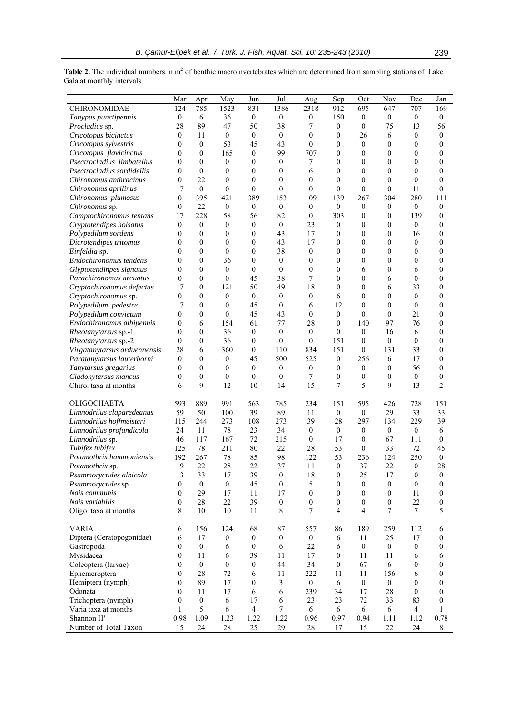**Table 2.** The individual numbers in  $m<sup>2</sup>$  of benthic macroinvertebrates which are determined from sampling stations of Lake Gala at monthly intervals

|                              | Mar              | Apr              | May              | Jun                      | Jul              | Aug              | Sep              | Oct              | Nov              | Dec              | Jan              |
|------------------------------|------------------|------------------|------------------|--------------------------|------------------|------------------|------------------|------------------|------------------|------------------|------------------|
| CHIRONOMIDAE                 | 124              | 785              | 1523             | 831                      | 1386             | 2318             | 912              | 695              | 647              | 707              | 169              |
| Tanypus punctipennis         | $\boldsymbol{0}$ | 6                | 36               | $\boldsymbol{0}$         | $\boldsymbol{0}$ | 0                | 150              | $\mathbf{0}$     | $\boldsymbol{0}$ | $\boldsymbol{0}$ | $\boldsymbol{0}$ |
| Procladius sp.               | 28               | 89               | 47               | 50                       | 38               | 7                | $\overline{0}$   | $\theta$         | 75               | 13               | 56               |
| Cricotopus bicinctus         | $\theta$         | 11               | $\overline{0}$   | $\mathbf{0}$             | $\overline{0}$   | $\mathbf{0}$     | $\mathbf{0}$     | 26               | 6                | $\mathbf{0}$     | $\boldsymbol{0}$ |
| Cricotopus sylvestris        | $\boldsymbol{0}$ | $\boldsymbol{0}$ | 53               | 45                       | 43               | $\boldsymbol{0}$ | $\boldsymbol{0}$ | $\boldsymbol{0}$ | 0                | $\boldsymbol{0}$ | 0                |
| Cricotopus flavicinctus      | $\mathbf{0}$     | $\mathbf{0}$     | 165              | $\boldsymbol{0}$         | 99               | 707              | $\boldsymbol{0}$ | $\boldsymbol{0}$ | 0                | $\mathbf{0}$     | 0                |
| Psectrocladius limbatellus   | $\mathbf{0}$     | $\mathbf{0}$     | $\boldsymbol{0}$ | $\boldsymbol{0}$         | $\boldsymbol{0}$ | 7                | $\boldsymbol{0}$ | $\boldsymbol{0}$ | 0                | $\mathbf{0}$     | 0                |
| Psectrocladius sordidellis   | $\theta$         | $\mathbf{0}$     | $\mathbf{0}$     | $\mathbf{0}$             | 0                | 6                | $\mathbf{0}$     | $\theta$         | 0                | $\theta$         | $\theta$         |
| Chironomus anthracinus       | $\boldsymbol{0}$ | 22               | $\mathbf{0}$     | $\mathbf{0}$             | $\overline{0}$   | $\boldsymbol{0}$ | $\theta$         | $\mathbf{0}$     | $\boldsymbol{0}$ | $\theta$         | 0                |
| Chironomus aprilinus         | 17               | $\mathbf{0}$     | $\mathbf{0}$     | $\mathbf{0}$             | $\mathbf{0}$     | $\overline{0}$   | $\mathbf{0}$     | $\theta$         | 0                | 11               | $\overline{0}$   |
| Chironomus plumosus          | $\boldsymbol{0}$ | 395              | 421              | 389                      | 153              | 109              | 139              | 267              | 304              | 280              | 111              |
| Chironomus sp.               | $\theta$         | 22               | $\boldsymbol{0}$ | $\boldsymbol{0}$         | $\mathbf{0}$     | $\boldsymbol{0}$ | $\mathbf{0}$     | $\boldsymbol{0}$ | $\boldsymbol{0}$ | $\mathbf{0}$     | $\overline{0}$   |
| Camptochironomus tentans     | 17               | 228              | 58               | 56                       | 82               | $\mathbf{0}$     | 303              | $\mathbf{0}$     | 0                | 139              | 0                |
| Cryptotendipes holsatus      | $\boldsymbol{0}$ | $\boldsymbol{0}$ | $\boldsymbol{0}$ | $\boldsymbol{0}$         | $\mathbf{0}$     | 23               | $\boldsymbol{0}$ | $\mathbf{0}$     | 0                | $\mathbf{0}$     | 0                |
| Polypedilum sordens          | $\boldsymbol{0}$ | $\boldsymbol{0}$ | $\boldsymbol{0}$ | $\boldsymbol{0}$         | 43               | 17               | $\boldsymbol{0}$ | $\boldsymbol{0}$ | 0                | 16               | 0                |
| Dicrotendipes tritomus       | $\mathbf{0}$     | $\mathbf{0}$     | $\mathbf{0}$     | $\mathbf{0}$             | 43               | 17               | $\mathbf{0}$     | $\boldsymbol{0}$ | 0                | $\theta$         | 0                |
| Einfeldia sp.                | $\mathbf{0}$     | $\boldsymbol{0}$ | $\mathbf{0}$     | $\mathbf{0}$             | 38               | $\boldsymbol{0}$ | $\mathbf{0}$     | $\mathbf{0}$     | 0                | $\theta$         | 0                |
| Endochironomus tendens       | $\mathbf{0}$     | $\boldsymbol{0}$ | 36               | $\boldsymbol{0}$         | $\overline{0}$   | $\boldsymbol{0}$ | $\boldsymbol{0}$ | $\boldsymbol{0}$ | 0                | $\boldsymbol{0}$ | 0                |
| Glyptotendinpes signatus     | $\mathbf{0}$     | $\mathbf{0}$     | $\mathbf{0}$     | $\mathbf{0}$             | $\mathbf{0}$     | $\mathbf{0}$     | $\mathbf{0}$     | 6                | 0                | 6                | 0                |
| Parachironomus arcuatus      | $\boldsymbol{0}$ | $\boldsymbol{0}$ | $\mathbf{0}$     | 45                       | 38               | 7                | $\mathbf{0}$     | $\mathbf{0}$     | 6                | $\theta$         | 0                |
| Cryptochironomus defectus    | 17               | $\mathbf{0}$     | 121              | 50                       | 49               | 18               | $\mathbf{0}$     | $\mathbf{0}$     | 6                | 33               | 0                |
| Cryptochironomus sp.         | $\theta$         | $\mathbf{0}$     | $\mathbf{0}$     | $\mathbf{0}$             | $\mathbf{0}$     | $\boldsymbol{0}$ | 6                | $\theta$         | $\overline{0}$   | $\mathbf{0}$     | $\mathbf{0}$     |
| Polypedilum pedestre         | 17               | $\boldsymbol{0}$ | $\mathbf{0}$     | 45                       | $\mathbf{0}$     | 6                | 12               | $\theta$         | $\mathbf{0}$     | $\theta$         | $\mathbf{0}$     |
| Polypedilum convictum        | $\mathbf{0}$     | $\boldsymbol{0}$ | $\mathbf{0}$     | 45                       | 43               | $\overline{0}$   | $\mathbf{0}$     | $\theta$         | $\mathbf{0}$     | 21               | $\mathbf{0}$     |
| Endochironomus albipennis    | $\boldsymbol{0}$ | 6                | 154              | 61                       | 77               | 28               | $\theta$         | 140              | 97               | 76               | 0                |
| Rheotanytarsus sp.-1         | $\mathbf{0}$     | $\boldsymbol{0}$ | 36               | $\mathbf{0}$             | $\mathbf{0}$     | $\mathbf{0}$     | $\mathbf{0}$     | $\mathbf{0}$     | 16               | 6                | $\mathbf{0}$     |
| Rheotanytarsus sp.-2         | $\mathbf{0}$     | $\boldsymbol{0}$ | 36               | $\mathbf{0}$             | $\mathbf{0}$     | $\boldsymbol{0}$ | 151              | $\theta$         | $\mathbf{0}$     | $\theta$         | $\mathbf{0}$     |
| Virgatanytarsus arduennensis | 28               | 6                | 360              | $\mathbf{0}$             | 110              | 834              | 151              | $\theta$         | 131              | 33               | $\mathbf{0}$     |
| Paratanytarsus lauterborni   | $\boldsymbol{0}$ | $\theta$         | $\boldsymbol{0}$ | 45                       | 500              | 525              | $\boldsymbol{0}$ | 256              | 6                | 17               | 0                |
| Tanytarsus gregarius         | $\theta$         | $\boldsymbol{0}$ | $\mathbf{0}$     | $\boldsymbol{0}$         | $\overline{0}$   | $\boldsymbol{0}$ | $\boldsymbol{0}$ | $\mathbf{0}$     | 0                | 56               | $\boldsymbol{0}$ |
| Cladonytarsus mancus         | $\boldsymbol{0}$ | $\boldsymbol{0}$ | $\mathbf{0}$     | $\mathbf{0}$             | $\mathbf{0}$     | $\overline{7}$   | $\boldsymbol{0}$ | $\boldsymbol{0}$ | 0                | $\mathbf{0}$     | $\boldsymbol{0}$ |
| Chiro. taxa at months        | 6                | 9                | 12               | 10                       | 14               | 15               | 7                | 5                | 9                | 13               | $\overline{c}$   |
| <b>OLIGOCHAETA</b>           | 593              | 889              | 991              | 563                      | 785              | 234              | 151              | 595              | 426              | 728              | 151              |
| Limnodrilus claparedeanus    | 59               | 50               | 100              | 39                       | 89               | 11               | $\overline{0}$   | $\boldsymbol{0}$ | 29               | 33               | 33               |
| Limnodrilus hoffmeisteri     | 115              | 244              | 273              | 108                      | 273              | 39               | 28               | 297              | 134              | 229              | 39               |
| Limnodrilus profundicola     | 24               | 11               | 78               | 23                       | 34               | $\mathbf{0}$     | $\boldsymbol{0}$ | $\boldsymbol{0}$ | $\boldsymbol{0}$ | $\mathbf{0}$     | 6                |
| Limnodrilus sp.              | 46               | 117              | 167              | 72                       | 215              | $\boldsymbol{0}$ | 17               | $\mathbf{0}$     | 67               | 111              | 0                |
| Tubifex tubifex              | 125              | 78               | 211              | 80                       | 22               | 28               | 53               | $\boldsymbol{0}$ | 33               | 72               | 45               |
| Potamothrix hammoniensis     | 192              | 267              | 78               | 85                       | 98               | 122              | 53               | 236              | 124              | 250              | 0                |
| Potamothrix sp.              | 19               | 22               | 28               | 22                       | 37               | 11               | $\mathbf{0}$     | 37               | 22               | $\boldsymbol{0}$ | 28               |
| Psammoryctides albicola      | 13               | 33               | 17               | 39                       | 0                | 18               | $\boldsymbol{0}$ | 25               | 17               | $\bf{0}$         | 0                |
| Psammoryctides sp.           | $\boldsymbol{0}$ | $\boldsymbol{0}$ | $\boldsymbol{0}$ | 45                       | $\boldsymbol{0}$ | 5                | $\boldsymbol{0}$ | $\boldsymbol{0}$ | $\boldsymbol{0}$ | $\boldsymbol{0}$ | $\boldsymbol{0}$ |
| Nais communis                | $\mathbf{0}$     | 29               | 17               | 11                       | 17               | $\overline{0}$   | $\boldsymbol{0}$ | $\mathbf{0}$     | $\boldsymbol{0}$ | 11               | $\boldsymbol{0}$ |
| Nais variabilis              | $\boldsymbol{0}$ | 28               | 22               | 39                       | $\boldsymbol{0}$ | 0                | $\boldsymbol{0}$ | $\mathbf{0}$     | $\boldsymbol{0}$ | 22               | $\boldsymbol{0}$ |
| Oligo. taxa at months        | 8                | 10               | 10               | 11                       | 8                | $\tau$           | $\overline{4}$   | $\overline{4}$   | 7                | 7                | 5                |
| <b>VARIA</b>                 | 6                | 156              | 124              | 68                       | 87               | 557              | 86               | 189              | 259              | 112              | 6                |
| Diptera (Ceratopogonidae)    | 6                | 17               | $\boldsymbol{0}$ | $\boldsymbol{0}$         | $\boldsymbol{0}$ | $\boldsymbol{0}$ | 6                | 11               | 25               | 17               | $\boldsymbol{0}$ |
| Gastropoda                   | $\boldsymbol{0}$ | $\boldsymbol{0}$ | 6                | $\boldsymbol{0}$         | 6                | 22               | 6                | $\mathbf{0}$     | $\boldsymbol{0}$ | $\boldsymbol{0}$ | 0                |
| Mysidacea                    | $\mathbf{0}$     | 11               | 6                | 39                       | 11               | 17               | $\boldsymbol{0}$ | 11               | 11               | 6                | 6                |
| Coleoptera (larvae)          | $\boldsymbol{0}$ | $\boldsymbol{0}$ | $\mathbf{0}$     | $\boldsymbol{0}$         | 44               | 34               | $\boldsymbol{0}$ | 67               | 6                | $\boldsymbol{0}$ | 0                |
| Ephemeroptera                | $\boldsymbol{0}$ | 28               | 72               | 6                        | 11               | 222              | 11               | 11               | 156              | 6                | 0                |
| Hemiptera (nymph)            | $\boldsymbol{0}$ | 89               | 17               | $\boldsymbol{0}$         | 3                | $\boldsymbol{0}$ | 6                | $\mathbf{0}$     | $\boldsymbol{0}$ | $\overline{0}$   | $\boldsymbol{0}$ |
| Odonata                      | $\boldsymbol{0}$ | 11               | 17               | 6                        | 6                | 239              | 34               | 17               | 28               | $\mathbf{0}$     | $\boldsymbol{0}$ |
| Trichoptera (nymph)          | $\boldsymbol{0}$ | $\boldsymbol{0}$ | 6                | 17                       | 6                | 23               | 23               | 72               | 33               | 83               | 0                |
| Varia taxa at months         | 1                | 5                | 6                | $\overline{\mathcal{L}}$ | 7                | 6                | 6                | 6                | 6                | $\overline{4}$   | 1                |
| Shannon H'                   | 0.98             | 1.09             | 1.23             | 1.22                     | 1.22             | 0.96             | 0.97             | 0.94             | 1.11             | 1.12             | 0.78             |
| Number of Total Taxon        | $\overline{15}$  | 24               | 28               | 25                       | 29               | $28\,$           | 17               | $\overline{15}$  | 22               | 24               | 8                |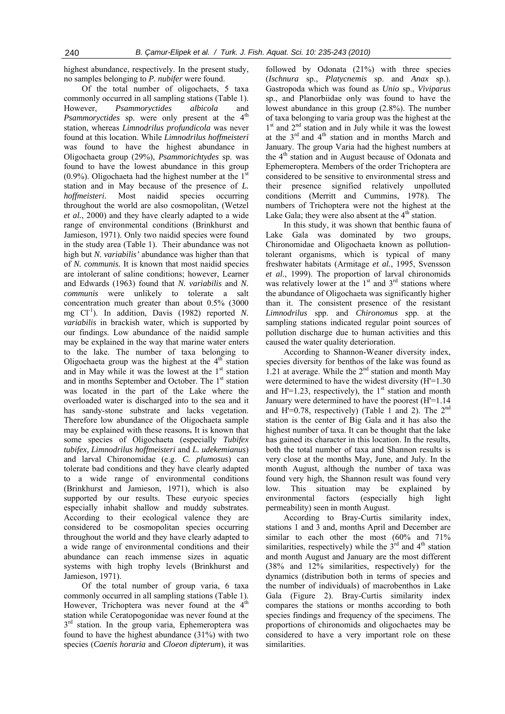highest abundance, respectively. In the present study, no samples belonging to *P. nubifer* were found.

Of the total number of oligochaets, 5 taxa commonly occurred in all sampling stations (Table 1). However, *Psammoryctides albicola* and Psammoryctides sp. were only present at the 4<sup>th</sup> station, whereas *Limnodrilus profundicola* was never found at this location. While *Limnodrilus hoffmeisteri* was found to have the highest abundance in Oligochaeta group (29%), *Psammorichtydes* sp. was found to have the lowest abundance in this group  $(0.9\%)$ . Oligochaeta had the highest number at the 1<sup>st</sup> station and in May because of the presence of *L. hoffmeisteri*. Most naidid species occurring throughout the world are also cosmopolitan, (Wetzel *et al.*, 2000) and they have clearly adapted to a wide range of environmental conditions (Brinkhurst and Jamieson, 1971). Only two naidid species were found in the study area (Table 1). Their abundance was not high but *N. variabilis'* abundance was higher than that of *N. communis.* It is known that most naidid species are intolerant of saline conditions; however, Learner and Edwards (1963) found that *N. variabilis* and *N. communis* were unlikely to tolerate a salt concentration much greater than about 0.5% (3000 mg Cl<sup>-1</sup>). In addition, Davis (1982) reported *N*. *variabilis* in brackish water, which is supported by our findings. Low abundance of the naidid sample may be explained in the way that marine water enters to the lake. The number of taxa belonging to Oligochaeta group was the highest at the  $4<sup>th</sup>$  station and in May while it was the lowest at the  $1<sup>st</sup>$  station and in months September and October. The 1<sup>st</sup> station was located in the part of the Lake where the overloaded water is discharged into to the sea and it has sandy-stone substrate and lacks vegetation. Therefore low abundance of the Oligochaeta sample may be explained with these reasons**.** It is known that some species of Oligochaeta (especially *Tubifex tubifex, Limnodrilus hoffmeisteri* and *L. udekemianus*) and larval Chironomidae (e.g. *C. plumosus*) can tolerate bad conditions and they have clearly adapted to a wide range of environmental conditions (Brinkhurst and Jamieson, 1971), which is also supported by our results. These euryoic species especially inhabit shallow and muddy substrates. According to their ecological valence they are considered to be cosmopolitan species occurring throughout the world and they have clearly adapted to a wide range of environmental conditions and their abundance can reach immense sizes in aquatic systems with high trophy levels (Brinkhurst and Jamieson, 1971).

Of the total number of group varia, 6 taxa commonly occurred in all sampling stations (Table 1). However, Trichoptera was never found at the  $4<sup>th</sup>$ station while Ceratopogonidae was never found at the  $3<sup>rd</sup>$  station. In the group varia, Ephemeroptera was found to have the highest abundance (31%) with two species (*Caenis horaria* and *Cloeon dipterum*), it was

followed by Odonata (21%) with three species (*Ischnura* sp., *Platycnemis* sp. and *Anax* sp.). Gastropoda which was found as *Unio* sp., *Viviparus*  sp., and Planorbiidae only was found to have the lowest abundance in this group (2.8%). The number of taxa belonging to varia group was the highest at the  $1<sup>st</sup>$  and  $2<sup>nd</sup>$  station and in July while it was the lowest at the  $3<sup>rd</sup>$  and  $4<sup>th</sup>$  station and in months March and January. The group Varia had the highest numbers at the 4<sup>th</sup> station and in August because of Odonata and Ephemeroptera. Members of the order Trichoptera are considered to be sensitive to environmental stress and their presence signified relatively unpolluted conditions (Merritt and Cummins, 1978). The numbers of Trichoptera were not the highest at the Lake Gala; they were also absent at the  $4<sup>th</sup>$  station.

In this study, it was shown that benthic fauna of Lake Gala was dominated by two groups, Chironomidae and Oligochaeta known as pollutiontolerant organisms, which is typical of many freshwater habitats (Armitage *et al.*, 1995, Svensson *et al.*, 1999). The proportion of larval chironomids was relatively lower at the  $1<sup>st</sup>$  and  $3<sup>rd</sup>$  stations where the abundance of Oligochaeta was significantly higher than it. The consistent presence of the resistant *Limnodrilus* spp. and *Chironomus* spp. at the sampling stations indicated regular point sources of pollution discharge due to human activities and this caused the water quality deterioration.

According to Shannon-Weaner diversity index, species diversity for benthos of the lake was found as 1.21 at average. While the  $2<sup>nd</sup>$  station and month May were determined to have the widest diversity (H'=1.30 and H'=1.23, respectively), the  $1<sup>st</sup>$  station and month January were determined to have the poorest (H'=1.14 and H<sup>'=0.78</sup>, respectively) (Table 1 and 2). The  $2<sup>nd</sup>$ station is the center of Big Gala and it has also the highest number of taxa. It can be thought that the lake has gained its character in this location. In the results, both the total number of taxa and Shannon results is very close at the months May, June, and July. In the month August, although the number of taxa was found very high, the Shannon result was found very low. This situation may be explained by<br>environmental factors (especially high light environmental factors (especially high light permeability) seen in month August.

According to Bray-Curtis similarity index, stations 1 and 3 and, months April and December are similar to each other the most (60% and 71% similarities, respectively) while the  $3<sup>rd</sup>$  and  $4<sup>th</sup>$  station and month August and January are the most different (38% and 12% similarities, respectively) for the dynamics (distribution both in terms of species and the number of individuals) of macrobenthos in Lake Gala (Figure 2). Bray-Curtis similarity index compares the stations or months according to both species findings and frequency of the specimens. The proportions of chironomids and oligochaetes may be considered to have a very important role on these similarities.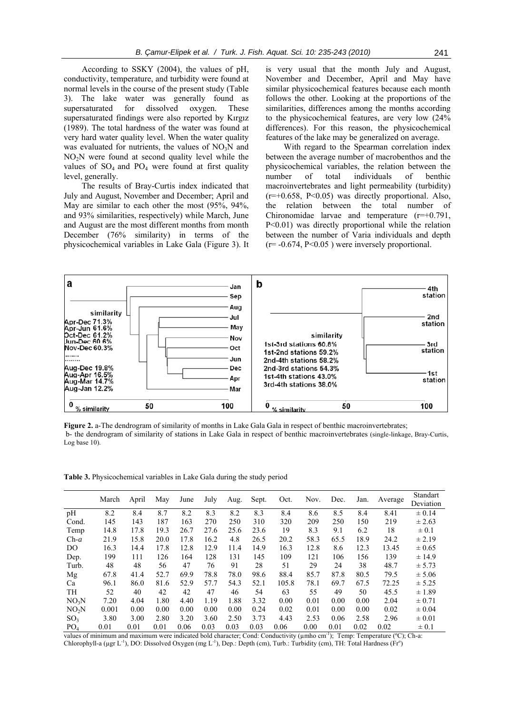According to SSKY (2004), the values of pH, conductivity, temperature, and turbidity were found at normal levels in the course of the present study (Table 3). The lake water was generally found as supersaturated for dissolved oxygen. These supersaturated findings were also reported by Kırgız (1989). The total hardness of the water was found at very hard water quality level. When the water quality was evaluated for nutrients, the values of  $NO<sub>3</sub>N$  and NO<sub>2</sub>N were found at second quality level while the values of  $SO_4$  and  $PO_4$  were found at first quality level, generally.

The results of Bray-Curtis index indicated that July and August, November and December; April and May are similar to each other the most (95%, 94%, and 93% similarities, respectively) while March, June and August are the most different months from month December (76% similarity) in terms of the physicochemical variables in Lake Gala (Figure 3). It is very usual that the month July and August, November and December, April and May have similar physicochemical features because each month follows the other. Looking at the proportions of the similarities, differences among the months according to the physicochemical features, are very low (24% differences). For this reason, the physicochemical features of the lake may be generalized on average.

With regard to the Spearman correlation index between the average number of macrobenthos and the physicochemical variables, the relation between the number of total individuals of benthic macroinvertebrates and light permeability (turbidity)  $(r=+0.658, P<0.05)$  was directly proportional. Also, the relation between the total number of Chironomidae larvae and temperature (r=+0.791, P<0.01) was directly proportional while the relation between the number of Varia individuals and depth  $(r=-0.674, P<0.05)$  were inversely proportional.



**Figure 2.** a-The dendrogram of similarity of months in Lake Gala Gala in respect of benthic macroinvertebrates; b- the dendrogram of similarity of stations in Lake Gala in respect of benthic macroinvertebrates (single-linkage, Bray-Curtis, Log base 10).

**Table 3.** Physicochemical variables in Lake Gala during the study period

|                   | March | April | May  | June | July | Aug. | Sept. | Oct.  | Nov. | Dec. | Jan. | Average | Standart   |
|-------------------|-------|-------|------|------|------|------|-------|-------|------|------|------|---------|------------|
|                   |       |       |      |      |      |      |       |       |      |      |      |         | Deviation  |
| pH                | 8.2   | 8.4   | 8.7  | 8.2  | 8.3  | 8.2  | 8.3   | 8.4   | 8.6  | 8.5  | 8.4  | 8.41    | $\pm 0.14$ |
| Cond.             | 145   | 143   | 187  | 163  | 270  | 250  | 310   | 320   | 209  | 250  | 150  | 219     | $\pm 2.63$ |
| Temp              | 14.8  | 17.8  | 19.3 | 26.7 | 27.6 | 25.6 | 23.6  | 19    | 8.3  | 9.1  | 6.2  | 18      | $\pm 0.1$  |
| $Ch-a$            | 21.9  | 15.8  | 20.0 | 17.8 | 16.2 | 4.8  | 26.5  | 20.2  | 58.3 | 65.5 | 18.9 | 24.2    | $\pm 2.19$ |
| DO.               | 16.3  | 14.4  | 17.8 | 12.8 | 12.9 | 11.4 | 14.9  | 16.3  | 12.8 | 8.6  | 12.3 | 13.45   | $\pm 0.65$ |
| Dep.              | 199   | 111   | 126  | 164  | 128  | 131  | 145   | 109   | 121  | 106  | 156  | 139     | ± 14.9     |
| Turb.             | 48    | 48    | 56   | 47   | 76   | 91   | 28    | 51    | 29   | 24   | 38   | 48.7    | ± 5.73     |
| Mg                | 67.8  | 41.4  | 52.7 | 69.9 | 78.8 | 78.0 | 98.6  | 88.4  | 85.7 | 87.8 | 80.5 | 79.5    | ± 5.06     |
| Ca                | 96.1  | 86.0  | 81.6 | 52.9 | 57.7 | 54.3 | 52.1  | 105.8 | 78.1 | 69.7 | 67.5 | 72.25   | ± 5.25     |
| TH                | 52    | 40    | 42   | 42   | 47   | 46   | 54    | 63    | 55   | 49   | 50   | 45.5    | ± 1.89     |
| NO <sub>3</sub> N | 7.20  | 4.04  | 1.80 | 4.40 | 1.19 | 1.88 | 3.32  | 0.00  | 0.01 | 0.00 | 0.00 | 2.04    | $\pm 0.71$ |
| NO <sub>2</sub> N | 0.001 | 0.00  | 0.00 | 0.00 | 0.00 | 0.00 | 0.24  | 0.02  | 0.01 | 0.00 | 0.00 | 0.02    | $\pm 0.04$ |
| SO <sub>3</sub>   | 3.80  | 3.00  | 2.80 | 3.20 | 3.60 | 2.50 | 3.73  | 4.43  | 2.53 | 0.06 | 2.58 | 2.96    | $\pm 0.01$ |
| PO <sub>4</sub>   | 0.01  | 0.01  | 0.01 | 0.06 | 0.03 | 0.03 | 0.03  | 0.06  | 0.00 | 0.01 | 0.02 | 0.02    | $\pm 0.1$  |

values of minimum and maximum were indicated bold character; Cond: Conductivity (umho cm<sup>-1</sup>); Temp: Temperature (°C); Ch-a: Chlorophyll-a ( $\mu$ gr L<sup>-1</sup>), DO: Dissolved Oxygen (mg L<sup>-1</sup>), Dep.: Depth (cm), Turb.: Turbidity (cm), TH: Total Hardness (Fr<sup>o</sup>)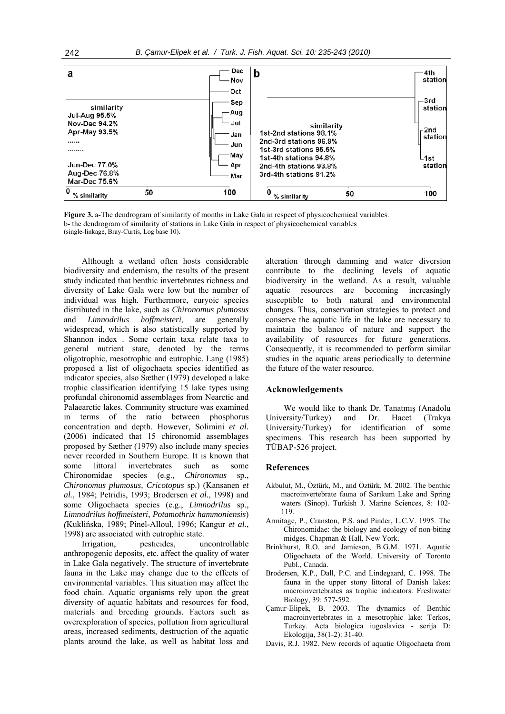| а                                                                                                                                      |    | Dec<br>Nov                                                   | b                                                                                                                                                                      | ∙4th<br>station                                        |
|----------------------------------------------------------------------------------------------------------------------------------------|----|--------------------------------------------------------------|------------------------------------------------------------------------------------------------------------------------------------------------------------------------|--------------------------------------------------------|
| similarity<br><b>Jul-Aug 95.5%</b><br>Nov-Dec 94.2%<br>Apr-May 93.5%<br><br><br><b>Jun-Dec 77.0%</b><br>Aug-Dec 76.8%<br>Mar-Dec 75.6% |    | Oct<br>Sep<br>Aug<br>Jul<br>√Jan<br>Jun<br>May<br>Apr<br>Mar | similarity<br>1st-2nd stations 98.1%<br>2nd-3rd stations 96.9%<br>1st-3rd stations 95.5%<br>1st-4th stations 94.8%<br>2nd-4th stations 93.8%<br>3rd-4th stations 91.2% | —3rd<br>station<br>- 2nd<br>station<br>∟1st<br>station |
| 0<br>% similarity                                                                                                                      | 50 | 100                                                          | 0<br>50<br>% similarity                                                                                                                                                | 100                                                    |

**Figure 3.** a-The dendrogram of similarity of months in Lake Gala in respect of physicochemical variables. b- the dendrogram of similarity of stations in Lake Gala in respect of physicochemical variables (single-linkage, Bray-Curtis, Log base 10).

Although a wetland often hosts considerable biodiversity and endemism, the results of the present study indicated that benthic invertebrates richness and diversity of Lake Gala were low but the number of individual was high. Furthermore, euryoic species distributed in the lake, such as *Chironomus plumosus*  and *Limnodrilus hoffmeisteri*, are generally widespread, which is also statistically supported by Shannon index . Some certain taxa relate taxa to general nutrient state, denoted by the terms oligotrophic, mesotrophic and eutrophic. Lang (1985) proposed a list of oligochaeta species identified as indicator species, also Sæther (1979) developed a lake trophic classification identifying 15 lake types using profundal chironomid assemblages from Nearctic and Palaearctic lakes. Community structure was examined in terms of the ratio between phosphorus concentration and depth. However, Solimini *et al.* (2006) indicated that 15 chironomid assemblages proposed by Sæther (1979) also include many species never recorded in Southern Europe. It is known that some littoral invertebrates such as some Chironomidae species (e.g., *Chironomus* sp., *Chironomus plumosus, Cricotopus* sp.) (Kansanen *et al.*, 1984; Petridis, 1993; Brodersen *et al.*, 1998) and some Oligochaeta species (e.g., *Limnodrilus* sp., *Limnodrilus hoffmeisteri*, *Potamothrix hammoniensis*) *(*Kuklińska, 1989; Pinel-Alloul, 1996; Kangur *et al.*, 1998) are associated with eutrophic state.

Irrigation, pesticides, uncontrollable anthropogenic deposits, etc. affect the quality of water in Lake Gala negatively. The structure of invertebrate fauna in the Lake may change due to the effects of environmental variables. This situation may affect the food chain. Aquatic organisms rely upon the great diversity of aquatic habitats and resources for food, materials and breeding grounds. Factors such as overexploration of species, pollution from agricultural areas, increased sediments, destruction of the aquatic plants around the lake, as well as habitat loss and alteration through damming and water diversion contribute to the declining levels of aquatic biodiversity in the wetland. As a result, valuable aquatic resources are becoming increasingly susceptible to both natural and environmental changes. Thus, conservation strategies to protect and conserve the aquatic life in the lake are necessary to maintain the balance of nature and support the availability of resources for future generations. Consequently, it is recommended to perform similar studies in the aquatic areas periodically to determine the future of the water resource.

#### **Acknowledgements**

We would like to thank Dr. Tanatmış (Anadolu University/Turkey) and Dr. Hacet (Trakya University/Turkey) for identification of some specimens. This research has been supported by TÜBAP-526 project.

#### **References**

- Akbulut, M., Öztürk, M., and Öztürk, M. 2002. The benthic macroinvertebrate fauna of Sarıkum Lake and Spring waters (Sinop). Turkish J. Marine Sciences, 8: 102- 119.
- Armitage, P., Cranston, P.S. and Pinder, L.C.V. 1995. The Chironomidae: the biology and ecology of non-biting midges. Chapman & Hall, New York.
- Brinkhurst, R.O. and Jamieson, B.G.M. 1971. Aquatic Oligochaeta of the World. University of Toronto Publ., Canada.
- Brodersen, K.P., Dall, P.C. and Lindegaard, C. 1998. The fauna in the upper stony littoral of Danish lakes: macroinvertebrates as trophic indicators. Freshwater Biology, 39: 577-592.
- Çamur-Elipek, B. 2003. The dynamics of Benthic macroinvertebrates in a mesotrophic lake: Terkos, Turkey. Acta biologica iugoslavica - serija D: Ekologija, 38(1-2): 31-40.
- Davis, R.J. 1982. New records of aquatic Oligochaeta from